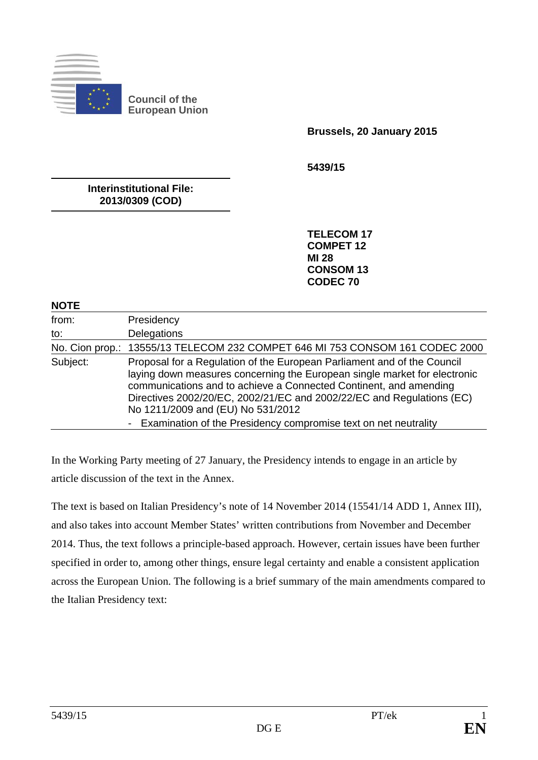

**Council of the European Union** 

 **Brussels, 20 January 2015** 

**5439/15** 

**Interinstitutional File: 2013/0309 (COD)** 

> **TELECOM 17 COMPET 12 MI 28 CONSOM 13 CODEC 70**

## **NOTE**

| from:    | Presidency                                                                                                                                                                                                                                                                                                                                                                                                   |
|----------|--------------------------------------------------------------------------------------------------------------------------------------------------------------------------------------------------------------------------------------------------------------------------------------------------------------------------------------------------------------------------------------------------------------|
| to:      | Delegations                                                                                                                                                                                                                                                                                                                                                                                                  |
|          | No. Cion prop.: 13555/13 TELECOM 232 COMPET 646 MI 753 CONSOM 161 CODEC 2000                                                                                                                                                                                                                                                                                                                                 |
| Subject: | Proposal for a Regulation of the European Parliament and of the Council<br>laying down measures concerning the European single market for electronic<br>communications and to achieve a Connected Continent, and amending<br>Directives 2002/20/EC, 2002/21/EC and 2002/22/EC and Regulations (EC)<br>No 1211/2009 and (EU) No 531/2012<br>- Examination of the Presidency compromise text on net neutrality |

In the Working Party meeting of 27 January, the Presidency intends to engage in an article by article discussion of the text in the Annex.

The text is based on Italian Presidency's note of 14 November 2014 (15541/14 ADD 1, Annex III), and also takes into account Member States' written contributions from November and December 2014. Thus, the text follows a principle-based approach. However, certain issues have been further specified in order to, among other things, ensure legal certainty and enable a consistent application across the European Union. The following is a brief summary of the main amendments compared to the Italian Presidency text: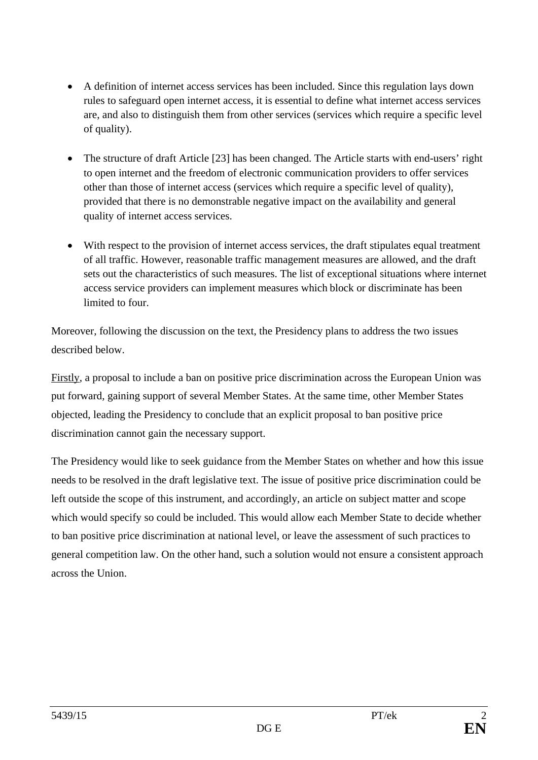- A definition of internet access services has been included. Since this regulation lays down rules to safeguard open internet access, it is essential to define what internet access services are, and also to distinguish them from other services (services which require a specific level of quality).
- The structure of draft Article [23] has been changed. The Article starts with end-users' right to open internet and the freedom of electronic communication providers to offer services other than those of internet access (services which require a specific level of quality), provided that there is no demonstrable negative impact on the availability and general quality of internet access services.
- With respect to the provision of internet access services, the draft stipulates equal treatment of all traffic. However, reasonable traffic management measures are allowed, and the draft sets out the characteristics of such measures. The list of exceptional situations where internet access service providers can implement measures which block or discriminate has been limited to four.

Moreover, following the discussion on the text, the Presidency plans to address the two issues described below.

Firstly, a proposal to include a ban on positive price discrimination across the European Union was put forward, gaining support of several Member States. At the same time, other Member States objected, leading the Presidency to conclude that an explicit proposal to ban positive price discrimination cannot gain the necessary support.

The Presidency would like to seek guidance from the Member States on whether and how this issue needs to be resolved in the draft legislative text. The issue of positive price discrimination could be left outside the scope of this instrument, and accordingly, an article on subject matter and scope which would specify so could be included. This would allow each Member State to decide whether to ban positive price discrimination at national level, or leave the assessment of such practices to general competition law. On the other hand, such a solution would not ensure a consistent approach across the Union.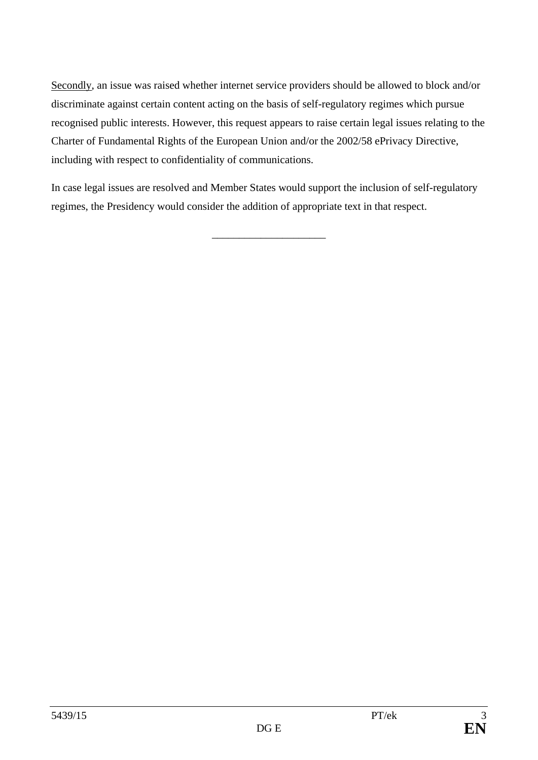Secondly, an issue was raised whether internet service providers should be allowed to block and/or discriminate against certain content acting on the basis of self-regulatory regimes which pursue recognised public interests. However, this request appears to raise certain legal issues relating to the Charter of Fundamental Rights of the European Union and/or the 2002/58 ePrivacy Directive, including with respect to confidentiality of communications.

In case legal issues are resolved and Member States would support the inclusion of self-regulatory regimes, the Presidency would consider the addition of appropriate text in that respect.

\_\_\_\_\_\_\_\_\_\_\_\_\_\_\_\_\_\_\_\_\_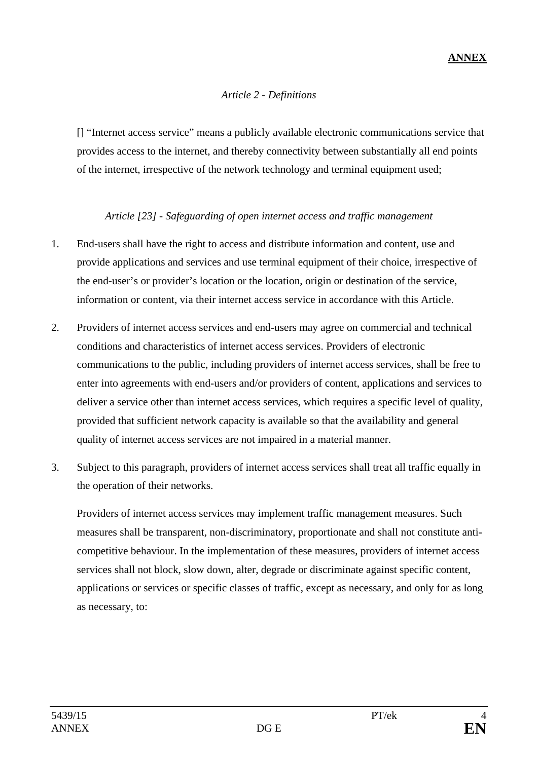## *Article 2 - Definitions*

 [] "Internet access service" means a publicly available electronic communications service that provides access to the internet, and thereby connectivity between substantially all end points of the internet, irrespective of the network technology and terminal equipment used;

## *Article [23] - Safeguarding of open internet access and traffic management*

- 1. End-users shall have the right to access and distribute information and content, use and provide applications and services and use terminal equipment of their choice, irrespective of the end-user's or provider's location or the location, origin or destination of the service, information or content, via their internet access service in accordance with this Article.
- 2. Providers of internet access services and end-users may agree on commercial and technical conditions and characteristics of internet access services. Providers of electronic communications to the public, including providers of internet access services, shall be free to enter into agreements with end-users and/or providers of content, applications and services to deliver a service other than internet access services, which requires a specific level of quality, provided that sufficient network capacity is available so that the availability and general quality of internet access services are not impaired in a material manner.
- 3. Subject to this paragraph, providers of internet access services shall treat all traffic equally in the operation of their networks.

 Providers of internet access services may implement traffic management measures. Such measures shall be transparent, non-discriminatory, proportionate and shall not constitute anticompetitive behaviour. In the implementation of these measures, providers of internet access services shall not block, slow down, alter, degrade or discriminate against specific content, applications or services or specific classes of traffic, except as necessary, and only for as long as necessary, to: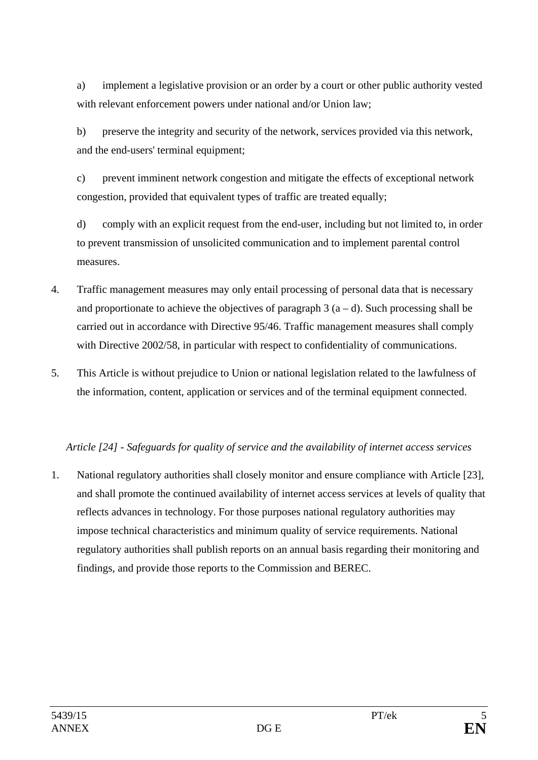a) implement a legislative provision or an order by a court or other public authority vested with relevant enforcement powers under national and/or Union law;

 b) preserve the integrity and security of the network, services provided via this network, and the end-users' terminal equipment;

c) prevent imminent network congestion and mitigate the effects of exceptional network congestion, provided that equivalent types of traffic are treated equally;

d) comply with an explicit request from the end-user, including but not limited to, in order to prevent transmission of unsolicited communication and to implement parental control measures.

- 4. Traffic management measures may only entail processing of personal data that is necessary and proportionate to achieve the objectives of paragraph  $3(a-d)$ . Such processing shall be carried out in accordance with Directive 95/46. Traffic management measures shall comply with Directive 2002/58, in particular with respect to confidentiality of communications.
- 5. This Article is without prejudice to Union or national legislation related to the lawfulness of the information, content, application or services and of the terminal equipment connected.

## *Article [24] - Safeguards for quality of service and the availability of internet access services*

1. National regulatory authorities shall closely monitor and ensure compliance with Article [23], and shall promote the continued availability of internet access services at levels of quality that reflects advances in technology. For those purposes national regulatory authorities may impose technical characteristics and minimum quality of service requirements. National regulatory authorities shall publish reports on an annual basis regarding their monitoring and findings, and provide those reports to the Commission and BEREC.